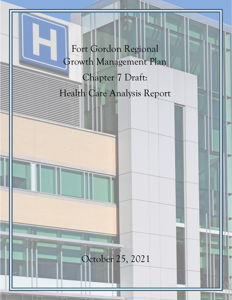Fort Gordon Regional Growth Management Plan Chapter 7 Draft: Health Care Analysis Report

# October 25, 2021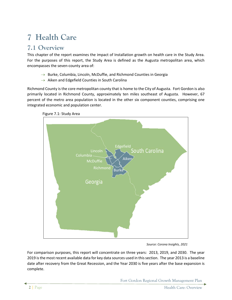# **7 Health Care**

# **7.1 Overview**

This chapter of the report examines the impact of Installation growth on health care in the Study Area. For the purposes of this report, the Study Area is defined as the Augusta metropolitan area, which encompasses the seven-county area of:

- $\rightarrow$  Burke, Columbia, Lincoln, McDuffie, and Richmond Counties in Georgia
- $\rightarrow$  Aiken and Edgefield Counties in South Carolina

Richmond County is the core metropolitan county that is home to the City of Augusta. Fort Gordon is also primarily located in Richmond County, approximately ten miles southeast of Augusta. However, 67 percent of the metro area population is located in the other six component counties, comprising one integrated economic and population center.



Figure 7.1: Study Area

*Source: Corona Insights, 2021*

For comparison purposes, this report will concentrate on three years: 2013, 2019, and 2030. The year 2019 is the most recent available data for key data sources used in this section. The year 2013 is a baseline date after recovery from the Great Recession, and the Year 2030 is five years after the base expansion is complete.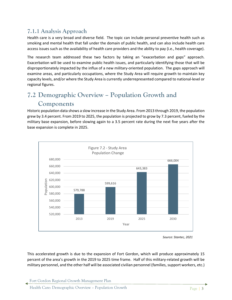# **7.1.1 Analysis Approach**

Health care is a very broad and diverse field. The topic can include personal preventive health such as smoking and mental health that fall under the domain of public health, and can also include health care access issues such as the availability of health care providers and the ability to pay (i.e., health coverage).

The research team addressed these two factors by taking an "exacerbation and gaps" approach. Exacerbation will be used to examine public health issues, and particularly identifying those that will be disproportionately impacted by the influx of a new military-oriented population. The gaps approach will examine areas, and particularly occupations, where the Study Area will require growth to maintain key capacity levels, and/or where the Study Area is currently underrepresented compared to national-level or regional figures.

# **7.2 Demographic Overview – Population Growth and Components**

Historic population data shows a slow increase in the Study Area. From 2013 through 2019, the population grew by 3.4 percent. From 2019 to 2025, the population is projected to grow by 7.3 percent, fueled by the military base expansion, before slowing again to a 3.5 percent rate during the next five years after the base expansion is complete in 2025.



*Source: Stantec, 2021*

This accelerated growth is due to the expansion of Fort Gordon, which will produce approximately 15 percent of the area's growth in the 2019 to 2025 time frame. Half of this military-related growth will be military personnel, and the other half will be associated civilian personnel (families, support workers, etc.)

Health Care: Demographic Overview – Population Growth Page | **3**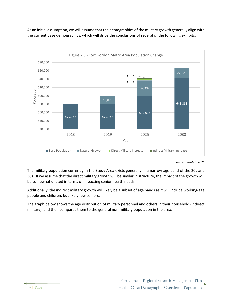

As an initial assumption, we will assume that the demographics of the military growth generally align with the current base demographics, which will drive the conclusions of several of the following exhibits.

The military population currently in the Study Area exists generally in a narrow age band of the 20s and 30s. If we assume that the direct military growth will be similar in structure, the impact of the growth will be somewhat diluted in terms of impacting senior health needs.

Additionally, the indirect military growth will likely be a subset of age bands as it will include working-age people and children, but likely few seniors.

The graph below shows the age distribution of military personnel and others in their household (indirect military), and then compares them to the general non-military population in the area.

*Source: Stantec, 2021*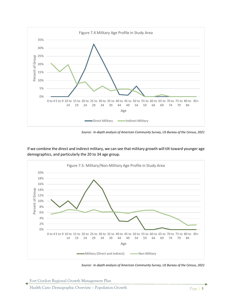

*Source: In-depth analysis of American Community Survey, US Bureau of the Census, 2021*

If we combine the direct and indirect military, we can see that military growth will tilt toward younger age demographics, and particularly the 20 to 34 age group.



*Source: In-depth analysis of American Community Survey, US Bureau of the Census, 2021*

Fort Gordon Regional Growth Management Plan

Health Care: Demographic Overview – Population Growth Page | **5**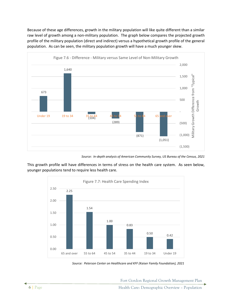Because of these age differences, growth in the military population will like quite different than a similar raw level of growth among a non-military population. The graph below compares the projected growth profile of the military population (direct and indirect) versus a hypothetical growth profile of the general population. As can be seen, the military population growth will have a much younger skew.



*Source: In-depth analysis of American Community Survey, US Bureau of the Census, 2021*

This growth profile will have differences in terms of stress on the health care system. As seen below, younger populations tend to require less health care.



*Source: Peterson Center on Healthcare and KFF (Kaiser Family Foundation), 2021*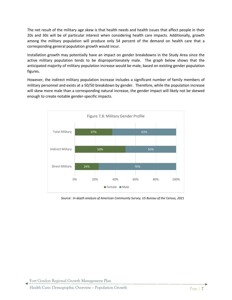The net result of the military age skew is that health needs and health issues that affect people in their 20s and 30s will be of particular interest when considering health care impacts. Additionally, growth among the military population will produce only 54 percent of the demand on health care that a corresponding general population growth would incur.

Installation growth may potentially have an impact on gender breakdowns in the Study Area since the active military population tends to be disproportionately male. The graph below shows that the anticipated majority of military population increase would be male, based on existing gender population figures.

However, the indirect military population increase includes a significant number of family members of military personnel and exists at a 50/50 breakdown by gender. Therefore, while the population increase will skew more male than a corresponding natural increase, the gender impact will likely not be skewed enough to create notable gender-specific impacts.



*Source: In-depth analysis of American Community Survey, US Bureau of the Census, 2021*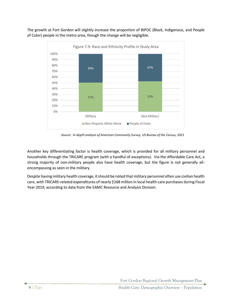The growth at Fort Gordon will slightly increase the proportion of BIPOC (Black, Indigenous, and People of Color) people in the metro area, though the change will be negligible.



*Source: In-depth analysis of American Community Survey, US Bureau of the Census, 2021*

Another key differentiating factor is health coverage, which is provided for all military personnel and households through the TRICARE program (with a handful of exceptions). Via the Affordable Care Act, a strong majority of non-military people also have health coverage, but the figure is not generally allencompassing as seen in the military.

Despite having military health coverage, it should be noted that military personnel often use civilian health care, with TRICARE-related expenditures of nearly \$168 million in local health care purchases during Fiscal Year 2019, according to data from the EAMC Resource and Analysis Division.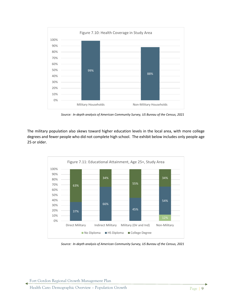

*Source: In-depth analysis of American Community Survey, US Bureau of the Census, 2021*

The military population also skews toward higher education levels in the local area, with more college degrees and fewer people who did not complete high school. The exhibit below includes only people age 25 or older.



*Source: In-depth analysis of American Community Survey, US Bureau of the Census, 2021*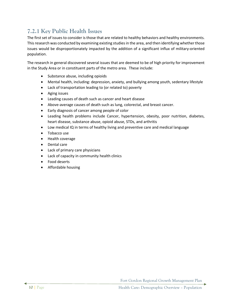# **7.2.1 Key Public Health Issues**

The first set of issues to consider is those that are related to healthy behaviors and healthy environments. This research was conducted by examining existing studies in the area, and then identifying whether those issues would be disproportionately impacted by the addition of a significant influx of military-oriented population.

The research in general discovered several issues that are deemed to be of high priority for improvement in the Study Area or in constituent parts of the metro area. These include:

- Substance abuse, including opioids
- Mental health, including: depression, anxiety, and bullying among youth, sedentary lifestyle
- Lack of transportation leading to (or related to) poverty
- Aging issues
- Leading causes of death such as cancer and heart disease
- Above-average causes of death such as lung, colorectal, and breast cancer.
- Early diagnosis of cancer among people of color
- Leading health problems include Cancer, hypertension, obesity, poor nutrition, diabetes, heart disease, substance abuse, opioid abuse, STDs, and arthritis
- Low medical IQ in terms of healthy living and preventive care and medical language
- Tobacco use
- Health coverage
- Dental care
- Lack of primary care physicians
- Lack of capacity in community health clinics
- Food deserts
- Affordable housing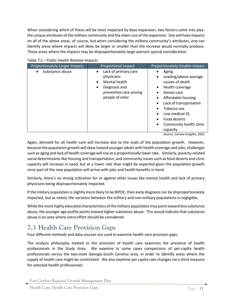When considering which of these will be most impacted by base expansion, two factors come into play: the unique attributes of the military community and the sheer size of the expansion. Size will have impacts on all of the above areas, of course, but when considering the military community's attributes, one can identify areas where impacts will likely be larger or smaller than the increase would normally produce. Those areas where the impacts may be disproportionately large warrant special consideration.

| Proportionately Larger Impacts | Proportional Impact                                                                                                   | Proportionately Smaller Impact                                                                                                                                                                                                   |
|--------------------------------|-----------------------------------------------------------------------------------------------------------------------|----------------------------------------------------------------------------------------------------------------------------------------------------------------------------------------------------------------------------------|
| Substance abuse                | Lack of primary care<br>physicians<br>Mental health<br>Diagnosis and<br>٠<br>preventive care among<br>people of color | Aging<br>Leading/above average<br>causes of death<br>Health coverage<br>٠<br>Dental care<br>Affordable housing<br>Lack of transportation<br>Tobacco use<br>Low medical IQ<br>Food deserts<br>Community health clinic<br>capacity |

Table 7.1 – Public Health Relative Impacts

*Source: Corona Insights, 2021*

Again, demand for all health care will increase due to the scale of the population growth. However, because the population growth will skew toward younger adults with health coverage and jobs, challenges such as aging and lack of health coverage will rise at a proportionally lower rate. Similarly, poverty-related social determinants like housing and transportation, and community issues such as food deserts and clinic capacity will increase in need, but at a lower rate than might be expected given the population growth since part of the new population will arrive with jobs and health benefits in hand.

Similarly, there's no strong indication for or against other issues like mental health and lack of primary physicians being disproportionately impacted.

If the military population is slightly more likely to be BIPOC, then early diagnosis can be disproportionately impacted, but as noted, the variation between the military and non-military populations is negligible.

While the more highly educated characteristics of the military population may point toward less substance abuse, the younger age profile points toward higher substance abuse. This would indicate that substance abuse is an area where extra effort should be considered.

# **7.3 Health Care Provision Gaps**

Four different methods and data sources are used to examine health care provision gaps.

The analysis philosophy related to the provision of health care examines the presence of health professionals in the Study Area. We examine in some cases comparisons of per-capita health professionals versus the two-state Georgia-South Carolina area, in order to identify areas where the supply of health care might be constricted. We also examine per capita rate changes via a third measure for selected health professionals.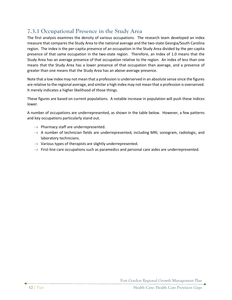# **7.3.1 Occupational Presence in the Study Area**

The first analysis examines the density of various occupations. The research team developed an index measure that compares the Study Area to the national average and the two-state Georgia/South Carolina region. The index is the per-capita presence of an occupation in the Study Area divided by the per-capita presence of that same occupation in the two-state region. Therefore, an Index of 1.0 means that the Study Area has an average presence of that occupation relative to the region. An index of less than one means that the Study Area has a lower presence of that occupation than average, and a presence of greater than one means that the Study Area has an above-average presence.

Note that a low index may not mean that a profession is underserved in an absolute sense since the figures are relative to the regional average, and similar a high index may not mean that a profession is overserved. It merely indicates a higher likelihood of those things.

These figures are based on current populations. A notable increase in population will push these indices lower.

A number of occupations are underrepresented, as shown in the table below. However, a few patterns and key occupations particularly stand out.

- $\rightarrow$  Pharmacy staff are underrepresented.
- $\rightarrow$  A number of technician fields are underrepresented, including MRI, sonogram, radiologic, and laboratory technicians.
- $\rightarrow$  Various types of therapists are slightly underrepresented.
- $\rightarrow$  First-line care occupations such as paramedics and personal care aides are underrepresented.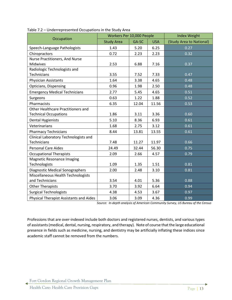|                                                | Workers Per 10,000 People |       | <b>Index Weight</b> |                          |
|------------------------------------------------|---------------------------|-------|---------------------|--------------------------|
| Occupation                                     | <b>Study Area</b>         | GA-SC | <b>USA</b>          | (Study Area to National) |
| Speech-Language Pathologists                   | 1.43                      | 5.20  | 6.25                | 0.27                     |
| Chiropractors                                  | 0.72                      | 2.23  | 2.23                | 0.32                     |
| Nurse Practitioners, And Nurse                 |                           |       |                     |                          |
| Midwives                                       | 2.53                      | 6.88  | 7.16                | 0.37                     |
| Radiologic Technologists and                   |                           |       |                     |                          |
| Technicians                                    | 3.55                      | 7.52  | 7.33                | 0.47                     |
| <b>Physician Assistants</b>                    | 1.64                      | 3.38  | 4.65                | 0.48                     |
| Opticians, Dispensing                          | 0.96                      | 1.98  | 2.50                | 0.48                     |
| <b>Emergency Medical Technicians</b>           | 2.77                      | 5.45  | 4.65                | 0.51                     |
| Surgeons                                       | 0.63                      | 1.22  | 1.88                | 0.52                     |
| Pharmacists                                    | 6.35                      | 12.04 | 11.56               | 0.53                     |
| Other Healthcare Practitioners and             |                           |       |                     |                          |
| <b>Technical Occupations</b>                   | 1.86                      | 3.11  | 3.36                | 0.60                     |
| <b>Dental Hygienists</b>                       | 5.10                      | 8.36  | 6.93                | 0.61                     |
| Veterinarians                                  | 1.68                      | 2.75  | 3.12                | 0.61                     |
| <b>Pharmacy Technicians</b>                    | 8.44                      | 13.81 | 13.55               | 0.61                     |
| Clinical Laboratory Technologists and          |                           |       |                     |                          |
| Technicians                                    | 7.48                      | 11.27 | 11.97               | 0.66                     |
| <b>Personal Care Aides</b>                     | 24.49                     | 32.44 | 56.30               | 0.75                     |
| <b>Occupational Therapists</b>                 | 2.09                      | 2.66  | 4.57                | 0.79                     |
| <b>Magnetic Resonance Imaging</b>              |                           |       |                     |                          |
| Technologists                                  | 1.09                      | 1.35  | 1.51                | 0.81                     |
| <b>Diagnostic Medical Sonographers</b>         | 2.00                      | 2.48  | 3.10                | 0.81                     |
| Miscellaneous Health Technologists             |                           |       |                     |                          |
| and Technicians                                | 3.54                      | 4.01  | 5.36                | 0.88                     |
| <b>Other Therapists</b>                        | 3.70                      | 3.92  | 6.64                | 0.94                     |
| <b>Surgical Technologists</b>                  | 4.38                      | 4.53  | 3.67                | 0.97                     |
| <b>Physical Therapist Assistants and Aides</b> | 3.06                      | 3.09  | 4.36                | 0.99                     |

| Table 7.2 - Underrepresented Occupations in the Study Area |  |  |
|------------------------------------------------------------|--|--|
|                                                            |  |  |

*Source: In-depth analysis of American Community Survey, US Bureau of the Census*

Professions that are over-indexed include both doctors and registered nurses, dentists, and various types of assistants(medical, dental, nursing, respiratory, and therapy). Note of course that the large educational presence in fields such as medicine, nursing, and dentistry may be artificially inflating these indices since academic staff cannot be removed from the numbers.

Fort Gordon Regional Growth Management Plan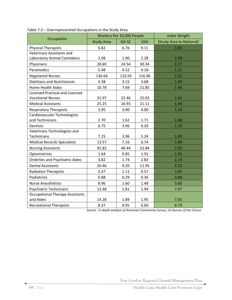|                                        |                   | Workers Per 10,000 People | <b>Index Weight</b> |                          |
|----------------------------------------|-------------------|---------------------------|---------------------|--------------------------|
| Occupation                             | <b>Study Area</b> | GA-SC                     | <b>USA</b>          | (Study Area to National) |
| <b>Physical Therapists</b>             | 6.82              | 6.76                      | 9.11                | 1.01                     |
| <b>Veterinary Assistants and</b>       |                   |                           |                     |                          |
| Laboratory Animal Caretakers           | 2.08              | 1.90                      | 2.28                | 1.09                     |
| Physicians                             | 28.69             | 24.54                     | 30.34               | 1.17                     |
| Paramedics                             | 5.48              | 4.52                      | 4.18                | 1.21                     |
| <b>Registered Nurses</b>               | 136.64            | 110.93                    | 116.96              | 1.23                     |
| <b>Dietitians and Nutritionists</b>    | 4.38              | 3.15                      | 3.68                | 1.39                     |
| Home Health Aides                      | 10.78             | 7.69                      | 21.85               | 1.40                     |
| <b>Licensed Practical and Licensed</b> |                   |                           |                     |                          |
| <b>Vocational Nurses</b>               | 31.97             | 22.46                     | 25.63               | 1.42                     |
| <b>Medical Assistants</b>              | 25.25             | 16.93                     | 21.11               | 1.49                     |
| <b>Respiratory Therapists</b>          | 5.95              | 3.90                      | 4.00                | 1.53                     |
| Cardiovascular Technologists           |                   |                           |                     |                          |
| and Technicians                        | 2.70              | 1.62                      | 1.71                | 1.66                     |
| Dentists                               | 6.75              | 3.96                      | 6.20                | 1.70                     |
| Veterinary Technologists and           |                   |                           |                     |                          |
| Technicians                            | 7.25              | 3.96                      | 5.24                | 1.83                     |
| <b>Medical Records Specialists</b>     | 13.57             | 7.16                      | 6.74                | 1.89                     |
| <b>Nursing Assistants</b>              | 92.82             | 48.44                     | 52.84               | 1.92                     |
| Optometrists                           | 1.64              | 0.85                      | 1.55                | 1.92                     |
| <b>Orderlies and Psychiatric Aides</b> | 3.82              | 1.74                      | 2.83                | 2.19                     |
| <b>Dental Assistants</b>               | 20.46             | 9.20                      | 11.95               | 2.22                     |
| <b>Radiation Therapists</b>            | 3.37              | 1.11                      | 0.57                | 3.05                     |
| Podiatrists                            | 0.88              | 0.29                      | 0.36                | 3.06                     |
| <b>Nurse Anesthetists</b>              | 8.96              | 1.60                      | 1.48                | 5.60                     |
| <b>Psychiatric Technicians</b>         | 13.48             | 1.81                      | 2.94                | 7.47                     |
| <b>Occupational Therapy Assistants</b> |                   |                           |                     |                          |
| and Aides                              | 14.28             | 1.89                      | 1.95                | 7.55                     |
| <b>Recreational Therapists</b>         | 8.37              | 0.95                      | 0.60                | 8.79                     |

*Source: In-depth analysis of American Community Survey, US Bureau of the Census*

Fort Gordon Regional Growth Management Plan

∢

**14** | Page Health Care: Health Care: Health Care Provision Gaps

 $\blacktriangleright$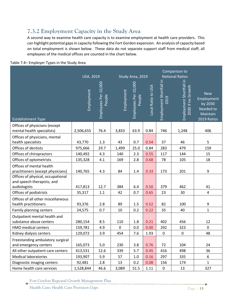# **7.3.2 Employment Capacity in the Study Area**

A second way to examine health care capacity is to examine employment at health care providers. This can highlight potential gaps in capacity following the Fort Gordon expansion. An analysis of capacity based on total employment is shown below. These data do not separate support staff from medical staff; all employees of the medical offices are counted in the chart below.

|                                                                                 |            | Comparison to<br><b>National Ratios</b><br><b>USA, 2019</b><br>Study Area, 2019 |             |                                |                    |                                 |                                              |                                                                             |
|---------------------------------------------------------------------------------|------------|---------------------------------------------------------------------------------|-------------|--------------------------------|--------------------|---------------------------------|----------------------------------------------|-----------------------------------------------------------------------------|
| <b>Establishment Type</b>                                                       | Employment | Employees Per 10,000<br>People                                                  | Employment  | Employees Per 10,000<br>People | Local Ratio to USA | Employment Shortfall in<br>2019 | Employment Shortfall in<br>2030 if no Growth | <b>New</b><br>Employment<br>by 2030<br>Needed to<br>Maintain<br>2019 Ratios |
| Offices of physicians (except                                                   |            |                                                                                 |             |                                |                    |                                 |                                              |                                                                             |
| mental health specialists)                                                      | 2,506,655  | 76.4                                                                            | 3,833       | 63.9                           | 0.84               | 746                             | 1,248                                        | 406                                                                         |
| Offices of physicians, mental<br>health specialists                             | 43,770     | 1.3                                                                             | 43          | 0.7                            | 0.54               | 37                              | 46                                           | 5                                                                           |
| Offices of dentists                                                             | 975,666    | 29.7                                                                            | 1,499       | 25.0                           | 0.84               | 283                             | 479                                          | 159                                                                         |
| Offices of chiropractors                                                        | 140,492    | 4.3                                                                             | 140         | 2.3                            | 0.55               | 117                             | 144                                          | 15                                                                          |
| Offices of optometrists                                                         | 135,328    | 4.1                                                                             | 169         | 2.8                            | 0.68               | 78                              | 105                                          | 18                                                                          |
| Offices of mental health<br>practitioners (except physicians)                   | 140,765    | 4.3                                                                             | 84          | 1.4                            | 0.33               | 173                             | 201                                          | $\boldsymbol{9}$                                                            |
| Offices of physical, occupational<br>and speech therapists, and<br>audiologists | 417,813    | 12.7                                                                            | 384         | 6.4                            | 0.50               | 379                             | 462                                          | 41                                                                          |
| Offices of podiatrists                                                          | 35,317     | $1.1\,$                                                                         | 42          | 0.7                            | 0.65               | 23                              | 30                                           | 4                                                                           |
| Offices of all other miscellaneous<br>health practitioners                      | 93,376     | 2.8                                                                             | 89          | 1.5                            | 0.52               | 82                              | 100                                          | $\boldsymbol{9}$                                                            |
| Family planning centers                                                         | 24,575     | 0.7                                                                             | 10          | 0.2                            | 0.22               | 35                              | 40                                           | $\mathbf{1}$                                                                |
| Outpatient mental health and<br>substance abuse centers                         | 280,154    | 8.5                                                                             | 110         | 1.8                            | 0.21               | 402                             | 456                                          | 12                                                                          |
| HMO medical centers                                                             | 159,781    | 4.9                                                                             | $\mathbf 0$ | 0.0                            | 0.00               | 292                             | 323                                          | $\mathbf 0$                                                                 |
| Kidney dialysis centers                                                         | 129,072    | 3.9                                                                             | 454         | 7.6                            | 1.93               | $\pmb{0}$                       | $\mathsf 0$                                  | 48                                                                          |
| Freestanding ambulatory surgical<br>and emergency centers                       | 165,073    | 5.0                                                                             | 230         | 3.8                            | 0.76               | 72                              | 104                                          | 24                                                                          |
| All other outpatient care centers                                               | 413,531    | 12.6                                                                            | 339         | 5.7                            | 0.45               | 416                             | 498                                          | 36                                                                          |
| <b>Medical laboratories</b>                                                     | 193,907    | 5.9                                                                             | 57          | 1.0                            | 0.16               | 297                             | 335                                          | 6                                                                           |
| Diagnostic imaging centers                                                      | 92,481     | 2.8                                                                             | 13          | 0.2                            | 0.08               | 156                             | 174                                          | $\mathbf{1}$                                                                |
| Home health care services                                                       | 1,528,844  | 46.6                                                                            | 3,089       | 51.5                           | 1.11               | 0                               | 13                                           | 327                                                                         |

### Table 7.4– Employer Types in the Study Area

Fort Gordon Regional Growth Management Plan

Health Care: Health Care Provision Gaps Page | 15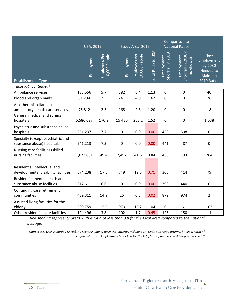|                                                                     | <b>USA, 2019</b><br>Study Area, 2019 |                                |            |                                |                    | Comparison to<br><b>National Ratios</b> |                                                 |                                                                             |
|---------------------------------------------------------------------|--------------------------------------|--------------------------------|------------|--------------------------------|--------------------|-----------------------------------------|-------------------------------------------------|-----------------------------------------------------------------------------|
| <b>Establishment Type</b>                                           | Employment                           | 10,000 People<br>Employees Per | Employment | 10,000 People<br>Employees Per | Local Ratio to USA | Shortfall in 2019<br>Employment         | Shortfall in 2030 if<br>Employment<br>no Growth | <b>New</b><br>Employment<br>by 2030<br>Needed to<br>Maintain<br>2019 Ratios |
| Table 7.4 (continued)                                               |                                      |                                |            |                                |                    |                                         |                                                 |                                                                             |
| Ambulance services                                                  | 185,556                              | 5.7                            | 382        | 6.4                            | 1.13               | $\mathbf 0$                             | $\pmb{0}$                                       | 40                                                                          |
| Blood and organ banks                                               | 81,294                               | 2.5                            | 241        | 4.0                            | 1.62               | $\pmb{0}$                               | $\pmb{0}$                                       | 26                                                                          |
| All other miscellaneous<br>ambulatory health care services          | 76,812                               | 2.3                            | 168        | 2.8                            | 1.20               | $\pmb{0}$                               | $\pmb{0}$                                       | 18                                                                          |
| General medical and surgical<br>hospitals                           | 5,586,027                            | 170.2                          | 15,480     | 258.2                          | 1.52               | 0                                       | 0                                               | 1,638                                                                       |
| Psychiatric and substance abuse<br>hospitals                        | 251,237                              | 7.7                            | $\pmb{0}$  | 0.0                            | 0.00               | 459                                     | 508                                             | $\mathbf 0$                                                                 |
| Specialty (except psychiatric and<br>substance abuse) hospitals     | 241,213                              | 7.3                            | $\pmb{0}$  | $0.0\,$                        | 0.00               | 441                                     | 487                                             | $\pmb{0}$                                                                   |
| Nursing care facilities (skilled<br>nursing facilities)             | 1,623,081                            | 49.4                           | 2,497      | 41.6                           | 0.84               | 468                                     | 793                                             | 264                                                                         |
| Residential intellectual and<br>developmental disability facilities | 574,238                              | 17.5                           | 749        | 12.5                           | 0.71               | 300                                     | 414                                             | 79                                                                          |
| Residential mental health and<br>substance abuse facilities         | 217,611                              | 6.6                            | $\pmb{0}$  | 0.0                            | 0.00               | 398                                     | 440                                             | $\pmb{0}$                                                                   |
| Continuing care retirement<br>communities                           | 489,311                              | 14.9                           | 15         | 0.3                            | 0.02               | 879                                     | 974                                             | $\overline{2}$                                                              |
| Assisted living facilities for the<br>elderly                       | 509,759                              | 15.5                           | 973        | 16.2                           | 1.04               | $\pmb{0}$                               | 61                                              | 103                                                                         |
| Other residential care facilities                                   | 124,496                              | 3.8                            | 102        | 1.7                            | 0.45               | 125                                     | 150                                             | 11                                                                          |

*<sup>1</sup> Red shading represents areas with a ratio of less than 0.8 for the local area compared to the national average.*

*Source: U.S. Census Bureau (2019). All Sectors: County Business Patterns, including ZIP Code Business Patterns, by Legal Form of Organization and Employment Size Class for the U.S., States, and Selected Geographies: 2019*

Fort Gordon Regional Growth Management Plan

16 | Page Health Care: Health Care Provision Gaps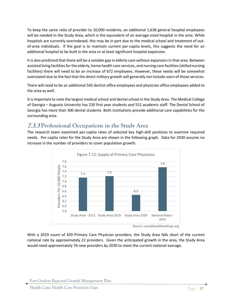To keep the same ratio of provider to 10,000 residents, an additional 1,638 general hospital employees will be needed in the Study Area, which is the equivalent of an average-sized hospital in the area. While hospitals are currently overindexed, this may be in part due to the medical school and treatment of outof-area individuals. If the goal is to maintain current per-capita levels, this suggests the need for an additional hospital to be built in the area or at least significant hospital expansion.

It is also predicted that there will be a notable gap in elderly care without expansion in that area. Between assisted living facilities for the elderly, home health care services, and nursing care facilities (skilled nursing facilities) there will need to be an increase of 672 employees. However, these needs will be somewhat overstated due to the fact that the direct military growth will generally not include users of those services.

There will need to be an additional 545 dentist office employees and physician office employees added to the area as well.

It is important to note the largest medical school and dental school in the Study Area. The Medical College of Georgia – Augusta University has 230 first year students and 552 academic staff. The Dental School of Georgia has more than 300 dental students. Both institutions provide additional care capabilities for the surrounding area.

# 7.3.3 **Professional Occupations in the Study Area**

The research team examined per-capita rates of selected key high-skill positions to examine required needs. Per-capita rates for the Study Area are shown in the following graph. Data for 2030 assume no increase in the number of providers to cover population growth.



*Source: countyhealthrankings.org*

With a 2019 count of 439 Primary Care Physician providers, the Study Area falls short of the current national rate by approximately 22 providers. Given the anticipated growth in the area, the Study Area would need approximately 76 new providers by 2030 to meet the current national average.

Fort Gordon Regional Growth Management Plan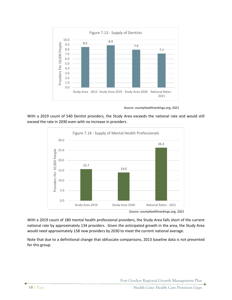

*Source: countyhealthrankings.org, 2021*

With a 2019 count of 540 Dentist providers, the Study Area exceeds the national rate and would still exceed the rate in 2030 even with no increase in providers.



*Source: countyhealthrankings.org, 2021*

With a 2019 count of 180 mental health professional providers, the Study Area falls short of the current national rate by approximately 134 providers. Given the anticipated growth in the area, the Study Area would need approximately 158 new providers by 2030 to meet the current national average.

Note that due to a definitional change that obfuscate comparisons, 2013 baseline data is not presented for this group.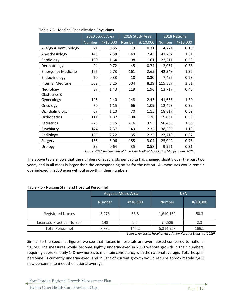|                           | 2020 Study Area |          |        | 2018 Study Area     | 2018 National |          |
|---------------------------|-----------------|----------|--------|---------------------|---------------|----------|
|                           | Number          | #/10,000 | Number | $\frac{\#}{10,000}$ | Number        | #/10,000 |
| Allergy & Immunology      | 21              | 0.35     | 19     | 0.31                | 4,774         | 0.15     |
| Anesthesiology            | 145             | 2.38     | 149    | 2.45                | 41,762        | 1.31     |
| Cardiology                | 100             | 1.64     | 98     | 1.61                | 22,211        | 0.69     |
| Dermatology               | 44              | 0.72     | 45     | 0.74                | 12,051        | 0.38     |
| <b>Emergency Medicine</b> | 166             | 2.73     | 161    | 2.65                | 42,348        | 1.32     |
| Endocrinology             | 20              | 0.33     | 18     | 0.30                | 7,495         | 0.23     |
| <b>Internal Medicine</b>  | 502             | 8.25     | 504    | 8.29                | 115,557       | 3.61     |
| Neurology                 | 87              | 1.43     | 119    | 1.96                | 13,717        | 0.43     |
| Obstetrics &              |                 |          |        |                     |               |          |
| Gynecology                | 146             | 2.40     | 148    | 2.43                | 41,656        | 1.30     |
| Oncology                  | 70              | 1.15     | 66     | 1.09                | 12,423        | 0.39     |
| Ophthalmology             | 67              | 1.10     | 70     | 1.15                | 18,817        | 0.59     |
| Orthopedics               | 111             | 1.82     | 108    | 1.78                | 19,001        | 0.59     |
| Pediatrics                | 228             | 3.75     | 216    | 3.55                | 58,435        | 1.83     |
| Psychiatry                | 144             | 2.37     | 143    | 2.35                | 38,205        | 1.19     |
| Radiology                 | 135             | 2.22     | 135    | 2.22                | 27,719        | 0.87     |
| Surgery                   | 186             | 3.06     | 185    | 3.04                | 25,042        | 0.78     |
| Urology                   | 39<br>$\sim$    | 0.64     | 35     | 0.58                | 9,921         | 0.31     |

Table 7.5 - Medical Specialization Physicians

*Source: CSRA and analysis of American Medical Association Mapper data, 2021.*

The above table shows that the numbers of specialists per capita has changed slightly over the past two years, and in all cases is larger than the corresponding ratios for the nation. All measures would remain overindexed in 2030 even without growth in their numbers.

|                                  |               | Augusta Metro Area  | <b>USA</b>    |                     |  |
|----------------------------------|---------------|---------------------|---------------|---------------------|--|
|                                  | <b>Number</b> | $\frac{\#}{10,000}$ | <b>Number</b> | $\frac{\#}{10,000}$ |  |
| <b>Registered Nurses</b>         | 3,273         | 53.8                | 1,610,150     | 50.3                |  |
| <b>Licensed Practical Nurses</b> | 148           | 2.4                 | 74,506        | 2.3                 |  |
| <b>Total Personnel</b>           | 8,832         | 145.2               | 5,314,958     | 166.1               |  |

*Source: American Hospital Association Hospital Statistics (2019)*

Similar to the specialist figures, we see that nurses in hospitals are overindexed compared to national figures. The measures would become slightly underindexed in 2030 without growth in their numbers, requiring approximately 148 new nurses to maintain consistency with the national average. Total hospital personnel is currently underindexed, and in light of current growth would require approximately 2,460 new personnel to meet the national average.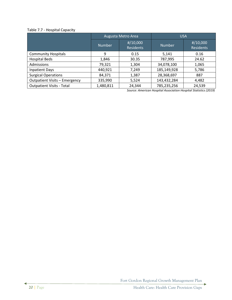# Table 7.7 - Hospital Capacity

|                                      |               | Augusta Metro Area                      | <b>USA</b>    |                                         |  |
|--------------------------------------|---------------|-----------------------------------------|---------------|-----------------------------------------|--|
|                                      | <b>Number</b> | $\frac{\#}{10,000}$<br><b>Residents</b> | <b>Number</b> | $\frac{\#}{10,000}$<br><b>Residents</b> |  |
| <b>Community Hospitals</b>           | 9             | 0.15                                    | 5,141         | 0.16                                    |  |
| <b>Hospital Beds</b>                 | 1,846         | 30.35                                   | 787,995       | 24.62                                   |  |
| Admissions                           | 79,321        | 1,304                                   | 34,078,100    | 1,065                                   |  |
| <b>Inpatient Days</b>                | 440,921       | 7,249                                   | 185,149,928   | 5,786                                   |  |
| <b>Surgical Operations</b>           | 84,371        | 1,387                                   | 28,368,697    | 887                                     |  |
| <b>Outpatient Visits - Emergency</b> | 335,990       | 5,524                                   | 143,432,284   | 4,482                                   |  |
| <b>Outpatient Visits - Total</b>     | 1,480,811     | 24,344                                  | 785,235,256   | 24,539                                  |  |

*Source: American Hospital Association Hospital Statistics (2019)*

Fort Gordon Regional Growth Management Plan

d

Þ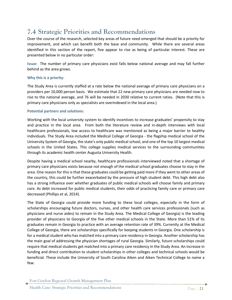# **7.4 Strategic Priorities and Recommendations**

Over the course of the research, selected key areas of future need emerged that should be a priority for improvement, and which can benefit both the base and community. While there are several areas identified in this section of the report, five appear to rise as being of particular interest. These are presented below in no particular order:

**Issue:** The number of primary care physicians exist falls below national average and may fall further behind as the area grows.

### **Why this is a priority:**

The Study Area is currently staffed at a rate below the national average of primary care physicians on a providers per 10,000 person basis. We estimate that 22 new primary care physicians are needed now to rise to the national average, and 76 will be needed in 2030 relative to current ratios. (Note that this is primary care physicians only as specialists are overindexed in the local area.)

### **Potential partners and solutions:**

Working with the local university system to identify incentives to increase graduates' propensity to stay and practice in the local area. From both the literature review and in-depth interviews with local healthcare professionals, low access to healthcare was mentioned as being a major barrier to healthy individuals. The Study Area included the Medical College of Georgia - the flagship medical school of the University System of Georgia, the state's only public medical school, and one of the top 10 largest medical schools in the United States. This college supplies medical services to the surrounding communities through its academic health center Augusta University Health.

Despite having a medical school nearby, healthcare professionals interviewed noted that a shortage of primary care physicians exists because not enough of the medical school graduates choose to stay in the area. One reason for this is that these graduates could be getting paid more if they went to other areas of the country, this could be further exacerbated by the pressure of high student debt. This high debt also has a strong influence over whether graduates of public medical schools will choose family and primary care. As debt increased for public medical students, their odds of practicing family care or primary care decreased (Phillips et al, 2014).

The State of Georgia could provide more funding to these local colleges, especially in the form of scholarships encouraging future doctors, nurses, and other health care services professionals (such as physicians and nurse aides) to remain in the Study Area. The Medical College of Georgia) is the leading provider of physicians to Georgia of the five other medical schools in the State. More than 51% of its graduates remain in Georgia to practice with an average retention rate of 39%. Currently at the Medical College of Georgia, there are scholarships specifically for keeping students in Georgia. One scholarship is for a medical student who has matched into a primary care residency in Georgia. Another scholarship has the main goal of addressing the physician shortages of rural Georgia. Similarly, future scholarships could require that medical students get matched into a primary care residency in the Study Area. An increase in funding and direct contribution to student scholarships in other colleges and technical schools would be beneficial. These include the University of South Carolina Aiken and Aiken Technical College to name a few.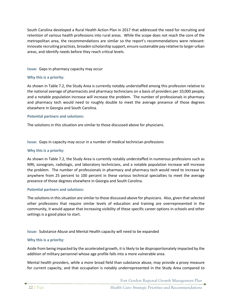South Carolina developed a Rural Health Action Plan in 2017 that addressed the need for recruiting and retention of various health professions into rural areas. While the scope does not reach the core of the metropolitan area, the recommendations are similar so the report's recommendations were relevant: innovate recruiting practices, broaden scholarship support, ensure sustainable pay relative to larger urban areas, and identify needs before they reach critical levels.

**Issue:** Gaps in pharmacy capacity may occur

### **Why this is a priority:**

As shown in Table 7.2, the Study Area is currently notably understaffed among this profession relative to the national average of pharmacists and pharmacy technicians on a basis of providers per 10,000 people, and a notable population increase will increase the problem. The number of professionals in pharmacy and pharmacy tech would need to roughly double to meet the average presence of those degrees elsewhere in Georgia and South Carolina.

### **Potential partners and solutions:**

The solutions in this situation are similar to those discussed above for physicians.

**Issue:** Gaps in capacity may occur in a number of medical technician professions

#### **Why this is a priority:**

As shown in Table 7.2, the Study Area is currently notably understaffed in numerous professions such as MRI, sonogram, radiologic, and laboratory technicians, and a notable population increase will increase the problem. The number of professionals in pharmacy and pharmacy tech would need to increase by anywhere from 25 percent to 100 percent in these various technical specialties to meet the average presence of those degrees elsewhere in Georgia and South Carolina.

#### **Potential partners and solutions:**

The solutions in this situation are similar to those discussed above for physicians. Also, given that selected other professions that require similar levels of education and training are overrepresented in the community, it would appear that increasing visibility of these specific career options in schools and other settings is a good place to start.

**Issue:** Substance Abuse and Mental Health capacity will need to be expanded

#### **Why this is a priority:**

Aside from being impacted by the accelerated growth, it is likely to be disproportionately impacted by the addition of military personnel whose age profile falls into a more vulnerable area.

Mental health providers, while a more broad field than substance abuse, may provide a proxy measure for current capacity, and that occupation is notably underrepresented in the Study Area compared to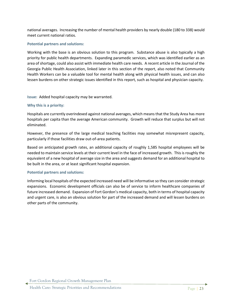national averages. Increasing the number of mental health providers by nearly double (180 to 338) would meet current national ratios.

### **Potential partners and solutions:**

Working with the base is an obvious solution to this program. Substance abuse is also typically a high priority for public health departments. Expanding paramedic services, which was identified earlier as an area of shortage, could also assist with immediate health care needs. A recent article in the Journal of the Georgia Public Health Association, linked later in this section of the report, also noted that Community Health Workers can be a valuable tool for mental health along with physical health issues, and can also lessen burdens on other strategic issues identified in this report, such as hospital and physician capacity.

**Issue:** Added hospital capacity may be warranted.

### **Why this is a priority:**

Hospitals are currently overindexed against national averages, which means that the Study Area has more hospitals per capita than the average American community. Growth will reduce that surplus but will not eliminated.

However, the presence of the large medical teaching facilities may somewhat misrepresent capacity, particularly if those facilities draw out-of-area patients.

Based on anticipated growth rates, an additional capacity of roughly 1,585 hospital employees will be needed to maintain service levels at their current level in the face of increased growth. This is roughly the equivalent of a new hospital of average size in the area and suggests demand for an additional hospital to be built in the area, or at least significant hospital expansion.

#### **Potential partners and solutions:**

Informing local hospitals of the expected increased need will be informative so they can consider strategic expansions. Economic development officials can also be of service to inform healthcare companies of future increased demand. Expansion of Fort Gordon's medical capacity, both in terms of hospital capacity and urgent care, is also an obvious solution for part of the increased demand and will lessen burdens on other parts of the community.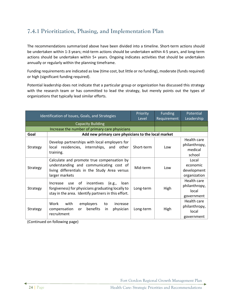# **7.4.1 Prioritization, Phasing, and Implementation Plan**

The recommendations summarized above have been divided into a timeline. Short-term actions should be undertaken within 1-3 years; mid-term actions should be undertaken within 4-5 years, and long-term actions should be undertaken within 5+ years. Ongoing indicates activities that should be undertaken annually or regularly within the planning timeframe.

Funding requirements are indicated as low (time cost, but little or no funding), moderate (funds required) or high (significant funding required).

Potential leadership does not indicate that a particular group or organization has discussed this strategy with the research team or has committed to lead the strategy, but merely points out the types of organizations that typically lead similar efforts.

| Identification of Issues, Goals, and Strategies |                                                                                                                                                                | Priority   | <b>Funding</b> | Potential                                           |
|-------------------------------------------------|----------------------------------------------------------------------------------------------------------------------------------------------------------------|------------|----------------|-----------------------------------------------------|
|                                                 |                                                                                                                                                                |            | Requirement    | Leadership                                          |
|                                                 | <b>Capacity Building</b>                                                                                                                                       |            |                |                                                     |
|                                                 | Increase the number of primary care physicians                                                                                                                 |            |                |                                                     |
| Goal                                            | Add new primary care physicians to the local market                                                                                                            |            |                |                                                     |
| Strategy                                        | Develop partnerships with local employers for<br>local residencies, internships, and other<br>training.                                                        | Short-term | Low            | Health care<br>philanthropy,<br>medical<br>school   |
| Strategy                                        | Calculate and promote true compensation by<br>understanding and communicating cost of<br>living differentials in the Study Area versus<br>larger markets       | Mid-term   | Low            | Local<br>economic<br>development<br>organization    |
| Strategy                                        | of<br>incentives<br>(e.g.,<br>Increase use<br>loan<br>forgiveness) for physicians graduating locally to<br>stay in the area. Identify partners in this effort. | Long-term  | High           | Health care<br>philanthropy,<br>local<br>government |
| Strategy                                        | Work<br>with<br>employers<br>to<br>increase<br>benefits<br>compensation<br>physician<br>or a<br>in<br>recruitment                                              | Long-term  | High           | Health care<br>philanthropy,<br>local<br>government |

(Continued on following page)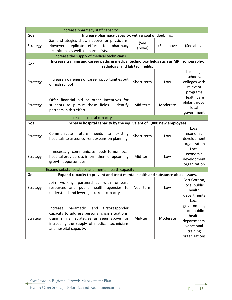| Increase pharmacy staff capacity                             |                                                                                                                                                                                                                            |                |            |                                                                                                           |
|--------------------------------------------------------------|----------------------------------------------------------------------------------------------------------------------------------------------------------------------------------------------------------------------------|----------------|------------|-----------------------------------------------------------------------------------------------------------|
| Goal<br>Increase pharmacy capacity, with a goal of doubling. |                                                                                                                                                                                                                            |                |            |                                                                                                           |
| Strategy                                                     | Same strategies shown above for physicians.<br>However, replicate efforts for pharmacy<br>technicians as well as pharmacists.                                                                                              | (See<br>above) | (See above | (See above                                                                                                |
|                                                              | Increase the supply of medical technicians                                                                                                                                                                                 |                |            |                                                                                                           |
| Goal                                                         | Increase training and career paths in medical technology fields such as MRI, sonography,                                                                                                                                   |                |            |                                                                                                           |
|                                                              | radiology, and lab tech fields.                                                                                                                                                                                            |                |            |                                                                                                           |
| Strategy                                                     | Increase awareness of career opportunities out<br>of high school                                                                                                                                                           | Short-term     | Low        | Local high<br>schools,<br>colleges with<br>relevant<br>programs                                           |
| Strategy                                                     | Offer financial aid or other incentives for<br>students to pursue these fields.<br>Identify<br>partners in this effort.                                                                                                    | Mid-term       | Moderate   | Health care<br>philanthropy,<br>local<br>government                                                       |
|                                                              | Increase hospital capacity                                                                                                                                                                                                 |                |            |                                                                                                           |
| Goal                                                         | Increase hospital capacity by the equivalent of 1,000 new employees.                                                                                                                                                       |                |            |                                                                                                           |
| Strategy                                                     | future<br>needs<br>Communicate<br>to<br>existing<br>hospitals to assess current expansion planning.                                                                                                                        | Short-term     | Low        | Local<br>economic<br>development<br>organization                                                          |
| Strategy                                                     | If necessary, communicate needs to non-local<br>hospital providers to inform them of upcoming<br>growth opportunities.                                                                                                     | Mid-term       | Low        | Local<br>economic<br>development<br>organization                                                          |
|                                                              | Expand substance abuse and mental health capacity                                                                                                                                                                          |                |            |                                                                                                           |
| Goal                                                         | Expand capacity to prevent and treat mental health and substance abuse issues.                                                                                                                                             |                |            |                                                                                                           |
| Strategy                                                     | partnerships with on-base<br>Join working<br>resources and public health agencies to<br>understand and leverage current capacity                                                                                           | Near-term      | Low        | Fort Gordon,<br>local public<br>health<br>departments                                                     |
| Strategy                                                     | paramedic<br>and<br>first-responder<br>Increase<br>capacity to address personal crisis situations,<br>using similar strategies as seen above for<br>increasing the supply of medical technicians<br>and hospital capacity. | Mid-term       | Moderate   | Local<br>government,<br>local public<br>health<br>departments,<br>vocational<br>training<br>organizations |

۰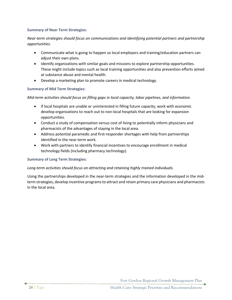### **Summary of Near Term Strategies:**

# *Near-term strategies should focus on communications and identifying potential partners and partnership opportunities.*

- Communicate what is going to happen so local employers and training/education partners can adjust their own plans.
- Identify organizations with similar goals and missions to explore partnership opportunities. These might include topics such as local training opportunities and also prevention efforts aimed at substance abuse and mental health.
- Develop a marketing plan to promote careers in medical technology.

## **Summary of Mid Term Strategies:**

## *Mid-term activities should focus on filling gaps in local capacity, labor pipelines, and information.*

- If local hospitals are unable or uninterested in filling future capacity, work with economic develop organizations to reach out to non-local hospitals that are looking for expansion opportunities.
- Conduct a study of compensation versus cost of living to potentially inform physicians and pharmacists of the advantages of staying in the local area.
- Address potential paramedic and first-responder shortages with help from partnerships identified in the near-term work.
- Work with partners to identify financial incentives to encourage enrollment in medical technology fields (including pharmacy technology).

### **Summary of Long Term Strategies:**

### *Long-term activities should focus on attracting and retaining highly trained individuals.*

Using the partnerships developed in the near-term strategies and the information developed in the midterm strategies, develop incentive programs to attract and retain primary care physicians and pharmacists in the local area.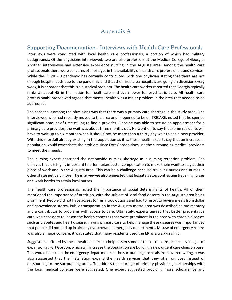# **Appendix A**

# **Supporting Documentation - Interviews with Health Care Professionals**

Interviews were conducted with local health care professionals, a portion of which had military backgrounds. Of the physicians interviewed, two are also professors at the Medical College of Georgia. Another interviewee had extensive experience nursing in the Augusta area. Among the health care professionals there were concerns of shortages in the availability of health care professionals and services. While the COVID-19 pandemic has certainly contributed, with one physician stating that there are not enough hospital beds due to the pandemic and that the three area hospitals are going on diversion every week, it is apparent that this is a historical problem. The health care worker reported that Georgia typically ranks at about 45 in the nation for healthcare and even lower for psychiatric care. All health care professionals interviewed agreed that mental health was a major problem in the area that needed to be addressed.

The consensus among the physicians was that there was a primary care shortage in the study area. One interviewee who had recently moved to the area and happened to be on TRICARE, noted that he spent a significant amount of time calling to find a provider. Once he was able to secure an appointment for a primary care provider, the wait was about three months out. He went on to say that some residents will have to wait up to six months when it should not be more than a thirty day wait to see a new provider. With this shortfall already existing in the population as it is, these health experts say that an increase in population would exacerbate the problem since Fort Gordon does use the surrounding medical providers to meet their needs.

The nursing expert described the nationwide nursing shortage as a nursing retention problem. She believes that it is highly important to offer nurses better compensation to make them want to stay at their place of work and in the Augusta area. This can be a challenge because traveling nurses and nurses in other states get paid more. The interviewee also suggested that hospitals stop contracting traveling nurses and work harder to retain local nurses.

The health care professionals noted the importance of social determinants of health. All of them mentioned the importance of nutrition, with the subject of local food deserts in the Augusta area being prominent. People did not have access to fresh food options and had to resort to buying meals from dollar and convenience stores. Public transportation in the Augusta metro area was described as rudimentary and a contributor to problems with access to care. Ultimately, experts agreed that better preventative care was necessary to lessen the health concerns that were prominent in the area with chronic diseases such as diabetes and heart disease. Having primary care to help manage these diseases was important so that people did not end up in already overcrowded emergency departments. Misuse of emergency rooms was also a major concern; it was stated that many residents used the ER as a walk-in clinic.

Suggestions offered by these health experts to help lessen some of these concerns, especially in light of expansion at Fort Gordon, which will increase the population are building a new urgent care clinic on base. This would help keep the emergency departments at the surrounding hospitals from overcrowding. It was also suggested that the installation expand the health services that they offer on post instead of outsourcing to the surrounding areas. To address the shortage of primary physicians, partnerships with the local medical colleges were suggested. One expert suggested providing more scholarships and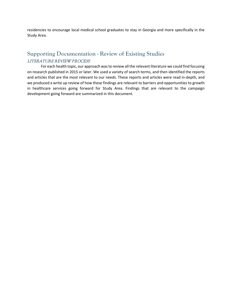residencies to encourage local medical school graduates to stay in Georgia and more specifically in the Study Area.

# **Supporting Documentation - Review of Existing Studies** LITERATURE REVIEW PROCESS

For each health topic, our approach was to review all the relevant literature we could find focusing on research published in 2015 or later. We used a variety of search terms, and then identified the reports and articles that are the most relevant to our needs. These reports and articles were read in-depth, and we produced a write up review of how these findings are relevant to barriers and opportunities to growth in healthcare services going forward for Study Area. Findings that are relevant to the campaign development going forward are summarized in this document.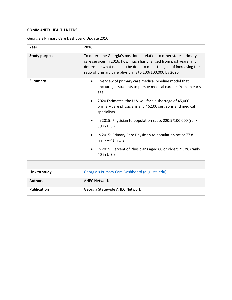# **COMMUNITY HEALTH NEEDS**

|  | Georgia's Primary Care Dashboard Update 2016 |  |
|--|----------------------------------------------|--|
|--|----------------------------------------------|--|

| Year                 | 2016                                                                                                                                                                                                                                                                                                                                                                                                                                                                                                                               |
|----------------------|------------------------------------------------------------------------------------------------------------------------------------------------------------------------------------------------------------------------------------------------------------------------------------------------------------------------------------------------------------------------------------------------------------------------------------------------------------------------------------------------------------------------------------|
| <b>Study purpose</b> | To determine Georgia's position in relation to other states primary<br>care services in 2016, how much has changed from past years, and<br>determine what needs to be done to meet the goal of increasing the<br>ratio of primary care physicians to 100/100,000 by 2020.                                                                                                                                                                                                                                                          |
| <b>Summary</b>       | Overview of primary care medical pipeline model that<br>$\bullet$<br>encourages students to pursue medical careers from an early<br>age.<br>2020 Estimates: the U.S. will face a shortage of 45,000<br>primary care physicians and 46,100 surgeons and medical<br>specialists.<br>In 2015: Physician to population ratio: 220.9/100,000 (rank-<br>39 in U.S.)<br>In 2015: Primary Care Physician to population ratio: 77.8<br>$(rank - 41in U.S.)$<br>In 2015: Percent of Physicians aged 60 or older: 21.3% (rank-<br>40 in U.S.) |
|                      |                                                                                                                                                                                                                                                                                                                                                                                                                                                                                                                                    |
| Link to study        | Georgia's Primary Care Dashboard (augusta.edu)                                                                                                                                                                                                                                                                                                                                                                                                                                                                                     |
| <b>Authors</b>       | <b>AHEC Network</b>                                                                                                                                                                                                                                                                                                                                                                                                                                                                                                                |
| <b>Publication</b>   | Georgia Statewide AHEC Network                                                                                                                                                                                                                                                                                                                                                                                                                                                                                                     |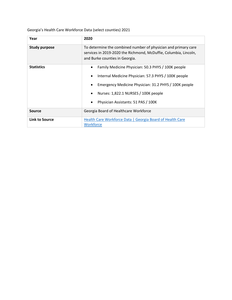Georgia's Health Care Workforce Data (select counties) 2021

| Year                  | 2020                                                                                                                                                                                                                                                    |
|-----------------------|---------------------------------------------------------------------------------------------------------------------------------------------------------------------------------------------------------------------------------------------------------|
| <b>Study purpose</b>  | To determine the combined number of physician and primary care<br>services in 2019-2020 the Richmond, McDuffie, Columbia, Lincoln,<br>and Burke counties in Georgia.                                                                                    |
| <b>Statistics</b>     | Family Medicine Physician: 50.3 PHYS / 100K people<br>Internal Medicine Physician: 57.3 PHYS / 100K people<br>Emergency Medicine Physician: 31.2 PHYS / 100K people<br>Nurses: 1,822.1 NURSES / 100K people<br>Physician Assistants: 51 PAS / 100K<br>٠ |
| <b>Source</b>         | Georgia Board of Healthcare Workforce                                                                                                                                                                                                                   |
| <b>Link to Source</b> | Health Care Workforce Data   Georgia Board of Health Care<br><b>Workforce</b>                                                                                                                                                                           |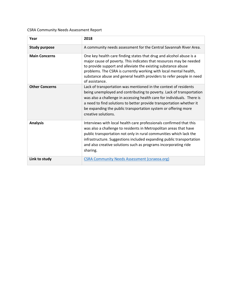CSRA Community Needs Assessment Report

| Year                  | 2018                                                                                                                                                                                                                                                                                                                                                                                 |
|-----------------------|--------------------------------------------------------------------------------------------------------------------------------------------------------------------------------------------------------------------------------------------------------------------------------------------------------------------------------------------------------------------------------------|
| <b>Study purpose</b>  | A community needs assessment for the Central Savannah River Area.                                                                                                                                                                                                                                                                                                                    |
| <b>Main Concerns</b>  | One key health care finding states that drug and alcohol abuse is a<br>major cause of poverty. This indicates that resources may be needed<br>to provide support and alleviate the existing substance abuse<br>problems. The CSRA is currently working with local mental health,<br>substance abuse and general health providers to refer people in need<br>of assistance.           |
| <b>Other Concerns</b> | Lack of transportation was mentioned in the context of residents<br>being unemployed and contributing to poverty. Lack of transportation<br>was also a challenge in accessing health care for individuals. There is<br>a need to find solutions to better provide transportation whether it<br>be expanding the public transportation system or offering more<br>creative solutions. |
| <b>Analysis</b>       | Interviews with local health care professionals confirmed that this<br>was also a challenge to residents in Metropolitan areas that have<br>public transportation not only in rural communities which lack the<br>infrastructure. Suggestions included expanding public transportation<br>and also creative solutions such as programs incorporating ride<br>sharing.                |
| Link to study         | <b>CSRA Community Needs Assessment (csraeoa.org)</b>                                                                                                                                                                                                                                                                                                                                 |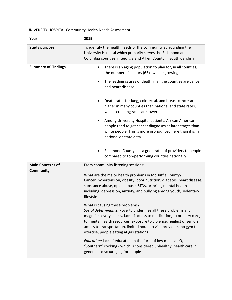# UNIVERSITY HOSPITAL Community Health Needs Assessment

| Year                                 | 2019                                                                                                                                                                                                                                                                                                                                                                                                                                                                                                                                                                                                                                                                                                                                                                                                                                                                                 |  |
|--------------------------------------|--------------------------------------------------------------------------------------------------------------------------------------------------------------------------------------------------------------------------------------------------------------------------------------------------------------------------------------------------------------------------------------------------------------------------------------------------------------------------------------------------------------------------------------------------------------------------------------------------------------------------------------------------------------------------------------------------------------------------------------------------------------------------------------------------------------------------------------------------------------------------------------|--|
| <b>Study purpose</b>                 | To identify the health needs of the community surrounding the<br>University Hospital which primarily serves the Richmond and<br>Columbia counties in Georgia and Aiken County in South Carolina.                                                                                                                                                                                                                                                                                                                                                                                                                                                                                                                                                                                                                                                                                     |  |
| <b>Summary of Findings</b>           | There is an aging population to plan for, in all counties,<br>the number of seniors (65+) will be growing.<br>The leading causes of death in all the counties are cancer<br>and heart disease.<br>Death rates for lung, colorectal, and breast cancer are<br>higher in many counties than national and state rates,<br>while screening rates are lower.<br>Among University Hospital patients, African American<br>٠<br>people tend to get cancer diagnoses at later stages than<br>white people. This is more pronounced here than it is in<br>national or state data.                                                                                                                                                                                                                                                                                                              |  |
|                                      | Richmond County has a good ratio of providers to people<br>compared to top-performing counties nationally.                                                                                                                                                                                                                                                                                                                                                                                                                                                                                                                                                                                                                                                                                                                                                                           |  |
| <b>Main Concerns of</b><br>Community | From community listening sessions:<br>What are the major health problems in McDuffie County?<br>Cancer, hypertension, obesity, poor nutrition, diabetes, heart disease,<br>substance abuse, opioid abuse, STDs, arthritis, mental health<br>including: depression, anxiety, and bullying among youth, sedentary<br>lifestyle<br>What is causing these problems?<br>Social determinants: Poverty underlines all these problems and<br>magnifies every illness, lack of access to medication, to primary care,<br>to mental health resources, exposure to violence, neglect of seniors,<br>access to transportation, limited hours to visit providers, no gym to<br>exercise, people eating at gas stations<br>Education: lack of education in the form of low medical IQ,<br>"Southern" cooking - which is considered unhealthy, health care in<br>general is discouraging for people |  |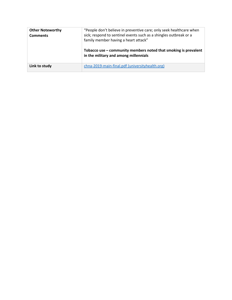| <b>Other Noteworthy</b><br><b>Comments</b> | "People don't believe in preventive care; only seek healthcare when<br>sick; respond to sentinel events such as a shingles outbreak or a<br>family member having a heart attack"<br>Tobacco use $-$ community members noted that smoking is prevalent<br>in the military and among millennials |
|--------------------------------------------|------------------------------------------------------------------------------------------------------------------------------------------------------------------------------------------------------------------------------------------------------------------------------------------------|
| Link to study                              | chna-2019-main-final.pdf (universityhealth.org)                                                                                                                                                                                                                                                |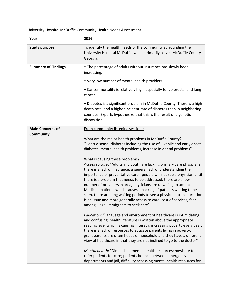University Hospital McDuffie Community Health Needs Assessment

| Year                       | 2016                                                                                                                                                                                                                                                                                                                                                                                                                                                                                                                                                                                                                                                               |
|----------------------------|--------------------------------------------------------------------------------------------------------------------------------------------------------------------------------------------------------------------------------------------------------------------------------------------------------------------------------------------------------------------------------------------------------------------------------------------------------------------------------------------------------------------------------------------------------------------------------------------------------------------------------------------------------------------|
| <b>Study purpose</b>       | To identify the health needs of the community surrounding the<br>University Hospital McDuffie which primarily serves McDuffie County<br>Georgia.                                                                                                                                                                                                                                                                                                                                                                                                                                                                                                                   |
| <b>Summary of Findings</b> | • The percentage of adults without insurance has slowly been<br>increasing.                                                                                                                                                                                                                                                                                                                                                                                                                                                                                                                                                                                        |
|                            | . Very low number of mental health providers.                                                                                                                                                                                                                                                                                                                                                                                                                                                                                                                                                                                                                      |
|                            | • Cancer mortality is relatively high, especially for colorectal and lung<br>cancer.                                                                                                                                                                                                                                                                                                                                                                                                                                                                                                                                                                               |
|                            | • Diabetes is a significant problem in McDuffie County. There is a high<br>death rate, and a higher incident rate of diabetes than in neighboring<br>counties. Experts hypothesize that this is the result of a genetic<br>disposition.                                                                                                                                                                                                                                                                                                                                                                                                                            |
| <b>Main Concerns of</b>    | From community listening sessions:                                                                                                                                                                                                                                                                                                                                                                                                                                                                                                                                                                                                                                 |
| <b>Community</b>           | What are the major health problems in McDuffie County?<br>"Heart disease, diabetes including the rise of juvenile and early onset<br>diabetes, mental health problems, increase in dental problems"                                                                                                                                                                                                                                                                                                                                                                                                                                                                |
|                            | What is causing these problems?<br>Access to care: "Adults and youth are lacking primary care physicians,<br>there is a lack of insurance, a general lack of understanding the<br>importance of preventative care - people will not see a physician until<br>there is a problem that needs to be addressed, there are a low<br>number of providers in area, physicians are unwilling to accept<br>Medicaid patients which causes a backlog of patients waiting to be<br>seen, there are long waiting periods to see a physician, transportation<br>is an issue and more generally access to care, cost of services, fear<br>among illegal immigrants to seek care" |
|                            | Education: "Language and environment of healthcare is intimidating<br>and confusing, health literature is written above the appropriate<br>reading level which is causing illiteracy, increasing poverty every year,<br>there is a lack of resources to educate parents living in poverty,<br>grandparents are often heads of household and they have a different<br>view of healthcare in that they are not inclined to go to the doctor"                                                                                                                                                                                                                         |
|                            | Mental health: "Diminished mental health resources; nowhere to<br>refer patients for care; patients bounce between emergency<br>departments and jail, difficulty accessing mental health resources for                                                                                                                                                                                                                                                                                                                                                                                                                                                             |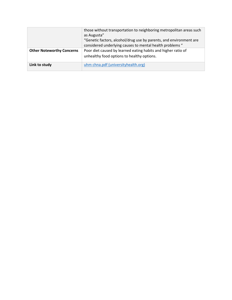|                                  | those without transportation to neighboring metropolitan areas such<br>as Augusta"<br>"Genetic factors, alcohol/drug use by parents, and environment are<br>considered underlying causes to mental health problems " |
|----------------------------------|----------------------------------------------------------------------------------------------------------------------------------------------------------------------------------------------------------------------|
| <b>Other Noteworthy Concerns</b> | Poor diet caused by learned eating habits and higher ratio of<br>unhealthy food options to healthy options.                                                                                                          |
| Link to study                    | uhm chna.pdf (universityhealth.org)                                                                                                                                                                                  |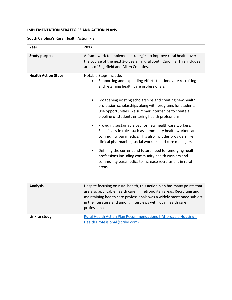# **IMPLEMENTATION STRATEGIES AND ACTION PLANS**

South Carolina's Rural Health Action Plan

| Year                       | 2017                                                                                                                                                                                                                                                                                                                                                                                                                                                                                                                                                                                                                                                                                                                                                                                                                                              |
|----------------------------|---------------------------------------------------------------------------------------------------------------------------------------------------------------------------------------------------------------------------------------------------------------------------------------------------------------------------------------------------------------------------------------------------------------------------------------------------------------------------------------------------------------------------------------------------------------------------------------------------------------------------------------------------------------------------------------------------------------------------------------------------------------------------------------------------------------------------------------------------|
| <b>Study purpose</b>       | A framework to implement strategies to improve rural health over<br>the course of the next 3-5 years in rural South Carolina. This includes<br>areas of Edgefield and Aiken Counties.                                                                                                                                                                                                                                                                                                                                                                                                                                                                                                                                                                                                                                                             |
| <b>Health Action Steps</b> | Notable Steps Include:<br>Supporting and expanding efforts that innovate recruiting<br>and retaining health care professionals.<br>Broadening existing scholarships and creating new health<br>$\bullet$<br>profession scholarships along with programs for students.<br>Use opportunities like summer internships to create a<br>pipeline of students entering health professions.<br>Providing sustainable pay for new health care workers.<br>$\bullet$<br>Specifically in roles such as community health workers and<br>community paramedics. This also includes providers like<br>clinical pharmacists, social workers, and care managers.<br>Defining the current and future need for emerging health<br>$\bullet$<br>professions including community health workers and<br>community paramedics to increase recruitment in rural<br>areas. |
| <b>Analysis</b>            | Despite focusing on rural health, this action plan has many points that<br>are also applicable health care in metropolitan areas. Recruiting and<br>maintaining health care professionals was a widely mentioned subject<br>in the literature and among interviews with local health care<br>professionals.                                                                                                                                                                                                                                                                                                                                                                                                                                                                                                                                       |
| Link to study              | <b>Rural Health Action Plan Recommendations   Affordable Housing  </b><br>Health Professional (scribd.com)                                                                                                                                                                                                                                                                                                                                                                                                                                                                                                                                                                                                                                                                                                                                        |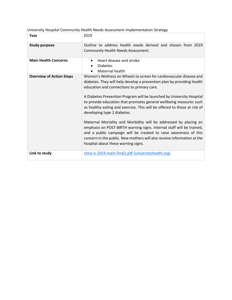| Year                            | 2019                                                                                                                                                                                                                                                                                                                                                                                                                   |
|---------------------------------|------------------------------------------------------------------------------------------------------------------------------------------------------------------------------------------------------------------------------------------------------------------------------------------------------------------------------------------------------------------------------------------------------------------------|
| <b>Study purpose</b>            | Outline to address health needs derived and chosen from 2019<br>Community Health Needs Assessment.                                                                                                                                                                                                                                                                                                                     |
| <b>Main Health Concerns</b>     | Heart disease and stroke<br><b>Diabetes</b><br>Maternal health                                                                                                                                                                                                                                                                                                                                                         |
| <b>Overview of Action Steps</b> | Women's Wellness on Wheels to screen for cardiovascular disease and<br>diabetes. They will help develop a prevention plan by providing health<br>education and connections to primary care.<br>A Diabetes Prevention Program will be launched by University Hospital<br>to provide education that promotes general wellbeing measures such<br>as healthy eating and exercise. This will be offered to those at risk of |
|                                 | developing type 2 diabetes.<br>Maternal Mortality and Morbidity will be addressed by placing an<br>emphasis on POST-BIRTH warning signs. Internal staff will be trained,<br>and a public campaign will be created to raise awareness of this<br>concern in the public. New mothers will also receive information at the<br>hospital about these warning signs.                                                         |
| Link to study                   | chna-is-2019-main-final2.pdf (universityhealth.org)                                                                                                                                                                                                                                                                                                                                                                    |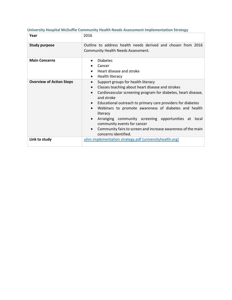| Year                            | 2016                                                                                                                                                                                                                                                                                                                                                                                                                                                                                                              |
|---------------------------------|-------------------------------------------------------------------------------------------------------------------------------------------------------------------------------------------------------------------------------------------------------------------------------------------------------------------------------------------------------------------------------------------------------------------------------------------------------------------------------------------------------------------|
| <b>Study purpose</b>            | Outline to address health needs derived and chosen from 2016<br>Community Health Needs Assessment.                                                                                                                                                                                                                                                                                                                                                                                                                |
| <b>Main Concerns</b>            | <b>Diabetes</b><br>Cancer<br>Heart disease and stroke<br>Health literacy<br>$\bullet$                                                                                                                                                                                                                                                                                                                                                                                                                             |
| <b>Overview of Action Steps</b> | Support groups for health literacy<br>$\bullet$<br>Classes teaching about heart disease and strokes<br>Cardiovascular screening program for diabetes, heart disease,<br>and stroke<br>Educational outreach to primary care providers for diabetes<br>$\bullet$<br>Webinars to promote awareness of diabetes and health<br>literacy<br>Arranging community screening opportunities at local<br>community events for cancer<br>Community fairs to screen and increase awareness of the main<br>concerns identified. |
| Link to study                   | uhm implementation strategy.pdf (universityhealth.org)                                                                                                                                                                                                                                                                                                                                                                                                                                                            |

# **University Hospital McDuffie Community Health Needs Assessment Implementation Strategy**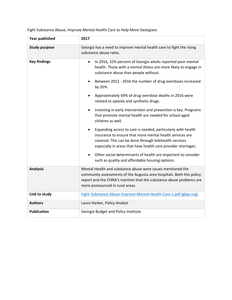**Year published 2017 Study purpose** Georgia has a need to improve mental health care to fight the rising substance abuse rates. **Key findings •** In 2016, 32% percent of Georgia adults reported poor mental health. Those with a mental illness are more likely to engage in substance abuse than people without. • Between 2012 - 2016 the number of drug overdoses increased by 35%. • Approximately 69% of drug overdose deaths in 2016 were related to opioids and synthetic drugs. • Investing in early intervention and prevention is key. Programs that promote mental health are needed for school aged children as well. • Expanding access to care is needed, particularly with health insurance to ensure that more mental health services are covered. This can be done through telehealth services especially in areas that have health care provider shortages. • Other social determinants of health are important to consider such as quality and affordable housing options. **Analysis** Mental Health and substance abuse were issues mentioned the community assessments of the Augusta area hospitals. Both this policy report and the CHNA's mention that the substance abuse problems are more pronounced in rural areas. **Link to study** [Fight-Substance-Abuse-Improve-Mental-Health-Care-1.pdf \(gbpi.org\)](https://gbpi.org/wp-content/uploads/2017/12/Fight-Substance-Abuse-Improve-Mental-Health-Care-1.pdf) **Authors** Laura Harker, Policy Analyst **Publication** Georgia Budget and Policy Institute

Fight Substance Abuse, Improve Mental Health Care to Help More Georgians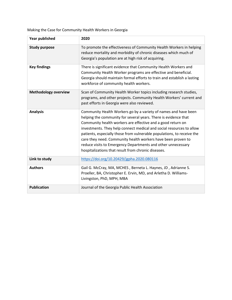Making the Case for Community Health Workers in Georgia

| <b>Year published</b>       | 2020                                                                                                                                                                                                                                                                                                                                                                                                                                                                                                                                       |
|-----------------------------|--------------------------------------------------------------------------------------------------------------------------------------------------------------------------------------------------------------------------------------------------------------------------------------------------------------------------------------------------------------------------------------------------------------------------------------------------------------------------------------------------------------------------------------------|
| <b>Study purpose</b>        | To promote the effectiveness of Community Health Workers in helping<br>reduce mortality and morbidity of chronic diseases which much of<br>Georgia's population are at high risk of acquiring.                                                                                                                                                                                                                                                                                                                                             |
| <b>Key findings</b>         | There is significant evidence that Community Health Workers and<br>Community Health Worker programs are effective and beneficial.<br>Georgia should maintain formal efforts to train and establish a lasting<br>workforce of community health workers.                                                                                                                                                                                                                                                                                     |
| <b>Methodology overview</b> | Scan of Community Health Worker topics including research studies,<br>programs, and other projects. Community Health Workers' current and<br>past efforts in Georgia were also reviewed.                                                                                                                                                                                                                                                                                                                                                   |
| <b>Analysis</b>             | Community Health Workers go by a variety of names and have been<br>helping the community for several years. There is evidence that<br>Community health workers are effective and a good return on<br>investments. They help connect medical and social resources to allow<br>patients, especially those from vulnerable populations, to receive the<br>care they need. Community health workers have been proven to<br>reduce visits to Emergency Departments and other unnecessary<br>hospitalizations that result from chronic diseases. |
| Link to study               | https://doi.org/10.20429/jgpha.2020.080116                                                                                                                                                                                                                                                                                                                                                                                                                                                                                                 |
| <b>Authors</b>              | Gail G. McCray, MA, MCHES, Berneta L. Haynes, JD, Adrianne S.<br>Proeller, BA, Christopher E. Ervin, MD, and Arletha D. Williams-<br>Livingston, PhD, MPH, MBA                                                                                                                                                                                                                                                                                                                                                                             |
| <b>Publication</b>          | Journal of the Georgia Public Health Association                                                                                                                                                                                                                                                                                                                                                                                                                                                                                           |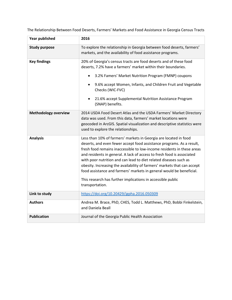The Relationship Between Food Deserts, Farmers' Markets and Food Assistance in Georgia Census Tracts

| <b>Year published</b>       | 2016                                                                                                                                                                                                                                                                                                                                                                                                                                                                                                                                                                                                     |
|-----------------------------|----------------------------------------------------------------------------------------------------------------------------------------------------------------------------------------------------------------------------------------------------------------------------------------------------------------------------------------------------------------------------------------------------------------------------------------------------------------------------------------------------------------------------------------------------------------------------------------------------------|
| <b>Study purpose</b>        | To explore the relationship in Georgia between food deserts, farmers'<br>markets, and the availability of food assistance programs.                                                                                                                                                                                                                                                                                                                                                                                                                                                                      |
| <b>Key findings</b>         | 20% of Georgia's census tracts are food deserts and of these food<br>deserts, 7.2% have a farmers' market within their boundaries.<br>3.2% Famers' Market Nutrition Program (FMNP) coupons<br>$\bullet$<br>9.6% accept Women, Infants, and Children Fruit and Vegetable<br>$\bullet$<br>Checks (WIC-FVC)<br>21.6% accept Supplemental Nutrition Assistance Program<br>(SNAP) benefits.                                                                                                                                                                                                                   |
| <b>Methodology overview</b> | 2014 USDA Food Desert Atlas and the USDA Farmers' Market Directory<br>data was used. From this data, farmers' market locations were<br>geocoded in ArcGIS. Spatial visualization and descriptive statistics were<br>used to explore the relationships.                                                                                                                                                                                                                                                                                                                                                   |
| <b>Analysis</b>             | Less than 10% of farmers' markets in Georgia are located in food<br>deserts, and even fewer accept food assistance programs. As a result,<br>fresh food remains inaccessible to low-income residents in these areas<br>and residents in general. A lack of access to fresh food is associated<br>with poor nutrition and can lead to diet related diseases such as<br>obesity. Increasing the availability of farmers' markets that can accept<br>food assistance and farmers' markets in general would be beneficial.<br>This research has further implications in accessible public<br>transportation. |
| Link to study               | https://doi.org/10.20429/jgpha.2016.050309                                                                                                                                                                                                                                                                                                                                                                                                                                                                                                                                                               |
| <b>Authors</b>              | Andrea M. Brace, PhD, CHES, Todd L. Matthews, PhD, Bobbi Finkelstein,<br>and Daniela Beall                                                                                                                                                                                                                                                                                                                                                                                                                                                                                                               |
| <b>Publication</b>          | Journal of the Georgia Public Health Association                                                                                                                                                                                                                                                                                                                                                                                                                                                                                                                                                         |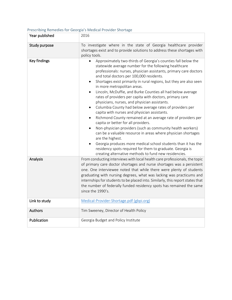# Prescribing Remedies for Georgia's Medical Provider Shortage

| Year published | 2016                                                                                                                                                                                                                                                                                                                                                                                                                                                                                                                                                                                                                                                                                                                                                                                                                                                                                                                                                                                                                                                                                                                 |
|----------------|----------------------------------------------------------------------------------------------------------------------------------------------------------------------------------------------------------------------------------------------------------------------------------------------------------------------------------------------------------------------------------------------------------------------------------------------------------------------------------------------------------------------------------------------------------------------------------------------------------------------------------------------------------------------------------------------------------------------------------------------------------------------------------------------------------------------------------------------------------------------------------------------------------------------------------------------------------------------------------------------------------------------------------------------------------------------------------------------------------------------|
|                |                                                                                                                                                                                                                                                                                                                                                                                                                                                                                                                                                                                                                                                                                                                                                                                                                                                                                                                                                                                                                                                                                                                      |
| Study purpose  | To investigate where in the state of Georgia healthcare provider<br>shortages exist and to provide solutions to address these shortages with<br>policy tools.                                                                                                                                                                                                                                                                                                                                                                                                                                                                                                                                                                                                                                                                                                                                                                                                                                                                                                                                                        |
| Key findings   | Approximately two-thirds of Georgia's counties fall below the<br>statewide average number for the following healthcare<br>professionals: nurses, physician assistants, primary care doctors<br>and total doctors per 100,000 residents.<br>Shortages exist primarily in rural regions, but they are also seen<br>٠<br>in more metropolitan areas.<br>Lincoln, McDuffie, and Burke Counties all had below average<br>$\bullet$<br>rates of providers per capita with doctors, primary care<br>physicians, nurses, and physician assistants.<br>Columbia County had below average rates of providers per<br>$\bullet$<br>capita with nurses and physician assistants.<br>Richmond County remained at an average rate of providers per<br>capita or better for all providers.<br>Non-physician providers (such as community health workers)<br>can be a valuable resource in areas where physician shortages<br>are the highest.<br>Georgia produces more medical school students than it has the<br>residency spots required for them to graduate. Georgia is<br>creating alternative methods to fund new residencies. |
| Analysis       | From conducting interviews with local health care professionals, the topic<br>of primary care doctor shortages and nurse shortages was a persistent<br>one. One interviewee noted that while there were plenty of students<br>graduating with nursing degrees, what was lacking was practicums and<br>internships for students to be placed into. Similarly, this report states that<br>the number of federally funded residency spots has remained the same<br>since the 1990's.                                                                                                                                                                                                                                                                                                                                                                                                                                                                                                                                                                                                                                    |
| Link to study  | Medical-Provider-Shortage.pdf (gbpi.org)                                                                                                                                                                                                                                                                                                                                                                                                                                                                                                                                                                                                                                                                                                                                                                                                                                                                                                                                                                                                                                                                             |
| Authors        | Tim Sweeney, Director of Health Policy                                                                                                                                                                                                                                                                                                                                                                                                                                                                                                                                                                                                                                                                                                                                                                                                                                                                                                                                                                                                                                                                               |
| Publication    | Georgia Budget and Policy Institute                                                                                                                                                                                                                                                                                                                                                                                                                                                                                                                                                                                                                                                                                                                                                                                                                                                                                                                                                                                                                                                                                  |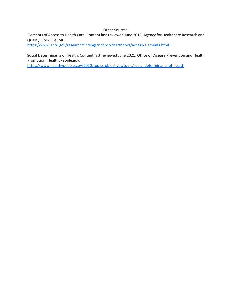#### Other Sources:

Elements of Access to Health Care. Content last reviewed June 2018. Agency for Healthcare Research and Quality, Rockville, MD.

<https://www.ahrq.gov/research/findings/nhqrdr/chartbooks/access/elements.html>

Social Determinants of Health. Content last reviewed June 2021. Office of Disease Prevention and Health Promotion, HealthyPeople.gov.

<https://www.healthypeople.gov/2020/topics-objectives/topic/social-determinants-of-health>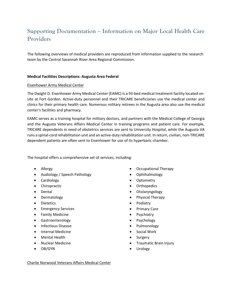# **Supporting Documentation – Information on Major Local Health Care Providers**

The following overviews of medical providers are reproduced from information supplied to the research team by the Central Savannah River Area Regional Commission.

#### **Medical Facilities Descriptions: Augusta Area Federal**

#### Eisenhower Army Medical Center

The Dwight D. Eisenhower Army Medical Center (EAMC) is a 93-bed medical treatment facility located onsite at Fort Gordon. Active-duty personnel and their TRICARE beneficiaries use the medical center and clinics for their primary health care. Numerous military retirees in the Augusta area also use the medical center's facilities and pharmacy.

EAMC serves as a training hospital for military doctors, and partners with the Medical College of Georgia and the Augusta Veterans Affairs Medical Center in training programs and patient care. For example, TRICARE dependents in need of obstetrics services are sent to University Hospital, while the Augusta VA runs a spinal-cord rehabilitation unit and an active-duty rehabilitation unit. In return, civilian, non-TRICARE dependent patients are often sent to Eisenhower for use of its hyperbaric chamber.

The hospital offers a comprehensive set of services, including:

- Allergy
- Audiology / Speech Pathology
- Cardiology
- Chiropractic
- Dental
- Dermatology
- Dietetics
- Emergency Services
- Family Medicine
- Gastroenterology
- Infectious Disease
- Internal Medicine
- Mental Health
- Nuclear Medicine
- OB/GYN
- Occupational Therapy
- Ophthalmology
- Optometry
- Orthopedics
- Otolaryngology
- Physical Therapy
- Podiatry
- Primary Care
- Psychiatry
- Psychology
- Pulmonology
- Social Work
- **Surgery**
- Traumatic Brain Injury
- Urology

Charlie Norwood Veterans Affairs Medical Center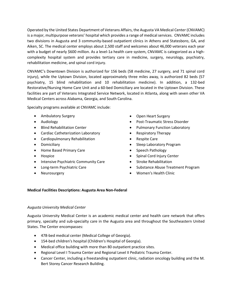Operated by the United States Department of Veterans Affairs, the Augusta VA Medical Center (CNVAMC) is a major, multipurpose veterans' hospital which provides a range of medical services. CNVAMC includes two divisions in Augusta and 3 community-based outpatient clinics in Athens and Statesboro, GA, and Aiken, SC. The medical center employs about 2,500 staff and welcomes about 46,000 veterans each year with a budget of nearly \$600 million. As a level-1a health care system, CNVAMC is categorized as a highcomplexity hospital system and provides tertiary care in medicine, surgery, neurology, psychiatry, rehabilitation medicine, and spinal cord injury.

CNVAMC's Downtown Division is authorized for 156 beds (58 medicine, 27 surgery, and 71 spinal cord injury), while the Uptown Division, located approximately three miles away, is authorized 82 beds (57 psychiatry, 15 blind rehabilitation and 10 rehabilitation medicine). In addition, a 132-bed Restorative/Nursing Home Care Unit and a 60-bed Domiciliary are located in the Uptown Division. These facilities are part of Veterans Integrated Service Network, located in Atlanta, along with seven other VA Medical Centers across Alabama, Georgia, and South Carolina.

Specialty programs available at CNVAMC include:

- Ambulatory Surgery
- Audiology
- Blind Rehabilitation Center
- Cardiac Catheterization Laboratory
- Cardiopulmonary Rehabilitation
- Domiciliary
- Home Based Primary Care
- Hospice
- Intensive Psychiatric Community Care
- Long-term Psychiatric Care
- Neurosurgery
- Open Heart Surgery
- Post-Traumatic Stress Disorder
- Pulmonary Function Laboratory
- Respiratory Therapy
- Respite Care
- Sleep Laboratory Program
- Speech Pathology
- Spinal Cord Injury Center
- Stroke Rehabilitation
- Substance Abuse Treatment Program
- Women's Health Clinic

#### **Medical Facilities Descriptions: Augusta Area Non-Federal**

#### *Augusta University Medical Center*

Augusta University Medical Center is an academic medical center and health care network that offers primary, specialty and sub-specialty care in the Augusta area and throughout the Southeastern United States. The Center encompasses:

- 478-bed medical center (Medical College of Georgia).
- 154-bed children's hospital (Children's Hospital of Georgia).
- Medical office building with more than 80 outpatient practice sites.
- Regional Level I Trauma Center and Regional Level II Pediatric Trauma Center.
- Cancer Center, including a freestanding outpatient clinic, radiation oncology building and the M. Bert Storey Cancer Research Building.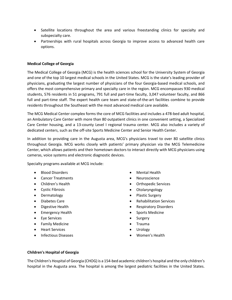- Satellite locations throughout the area and various freestanding clinics for specialty and subspecialty care.
- Partnerships with rural hospitals across Georgia to improve access to advanced health care options.

### **Medical College of Georgia**

The Medical College of Georgia (MCG) is the health sciences school for the University System of Georgia and one of the top 10 largest medical schools in the United States. MCG is the state's leading provider of physicians, graduating the largest number of physicians of the four Georgia-based medical schools, and offers the most comprehensive primary and specialty care in the region. MCG encompasses 930 medical students, 576 residents in 51 programs, 791 full and part-time faculty, 3,047 volunteer faculty, and 866 full and part-time staff. The expert health care team and state-of-the-art facilities combine to provide residents throughout the Southeast with the most advanced medical care available.

The MCG Medical Center complex forms the core of MCG facilities and includes a 478-bed adult hospital, an Ambulatory Care Center with more than 80 outpatient clinics in one convenient setting, a Specialized Care Center housing, and a 13-county Level I regional trauma center. MCG also includes a variety of dedicated centers, such as the off-site Sports Medicine Center and Senior Health Center.

In addition to providing care in the Augusta area, MCG's physicians travel to over 80 satellite clinics throughout Georgia. MCG works closely with patients' primary physician via the MCG Telemedicine Center, which allows patients and their hometown doctors to interact directly with MCG physicians using cameras, voice systems and electronic diagnostic devices.

Specialty programs available at MCG include:

- Blood Disorders
- Cancer Treatments
- Children's Health
- Cystic Fibrosis
- Dermatology
- Diabetes Care
- Digestive Health
- Emergency Health
- Eye Services
- Family Medicine
- Heart Services
- Infectious Diseases
- Mental Health
- Neuroscience
- Orthopedic Services
- Otolaryngology
- Plastic Surgery
- Rehabilitation Services
- Respiratory Disorders
- Sports Medicine
- **Surgery**
- Trauma
- Urology
- Women's Health

#### **Children's Hospital of Georgia**

The Children's Hospital of Georgia (CHOG) is a 154-bed academic children's hospital and the only children's hospital in the Augusta area. The hospital is among the largest pediatric facilities in the United States.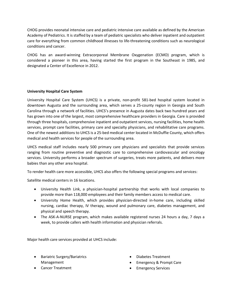CHOG provides neonatal intensive care and pediatric intensive care available as defined by the American Academy of Pediatrics. It is staffed by a team of pediatric specialists who deliver inpatient and outpatient care for everything from common childhood illnesses to life-threatening conditions such as neurological conditions and cancer.

CHOG has an award-winning Extracorporeal Membrane Oxygenation (ECMO) program, which is considered a pioneer in this area, having started the first program in the Southeast in 1985, and designated a Center of Excellence in 2012.

### **University Hospital Care System**

University Hospital Care System (UHCS) is a private, non-profit 581-bed hospital system located in downtown Augusta and the surrounding area, which serves a 25-county region in Georgia and South Carolina through a network of facilities. UHCS's presence in Augusta dates back two hundred years and has grown into one of the largest, most comprehensive healthcare providers in Georgia. Care is provided through three hospitals, comprehensive inpatient and outpatient services, nursing facilities, home health services, prompt care facilities, primary care and specialty physicians, and rehabilitative care programs. One of the newest additions to UHCS is a 25-bed medical center located in McDuffie County, which offers medical and health services for people of the surrounding area.

UHCS medical staff includes nearly 500 primary care physicians and specialists that provide services ranging from routine preventive and diagnostic care to comprehensive cardiovascular and oncology services. University performs a broader spectrum of surgeries, treats more patients, and delivers more babies than any other area hospital.

To render health care more accessible, UHCS also offers the following special programs and services:

Satellite medical centers in 16 locations.

- University Health Link, a physician-hospital partnership that works with local companies to provide more than 118,000 employees and their family members access to medical care.
- University Home Health, which provides physician-directed in-home care, including skilled nursing, cardiac therapy, IV therapy, wound and pulmonary care, diabetes management, and physical and speech therapy.
- The ASK-A-NURSE program, which makes available registered nurses 24 hours a day, 7 days a week, to provide callers with health information and physician referrals.

Major health care services provided at UHCS include:

• Bariatric Surgery/Bariatrics Management

- Diabetes Treatment
- Emergency & Prompt Care
- Emergency Services

• Cancer Treatment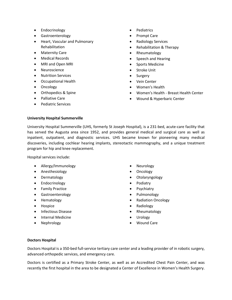- Endocrinology
- Gastroenterology
- Heart, Vascular and Pulmonary Rehabilitation
- Maternity Care
- Medical Records
- MRI and Open MRI
- Neuroscience
- Nutrition Services
- Occupational Health
- Oncology
- Orthopedics & Spine
- Palliative Care
- Pediatric Services
- Pediatrics
- Prompt Care
- Radiology Services
- Rehabilitation & Therapy
- Rheumatology
- Speech and Hearing
- Sports Medicine
- Stroke Unit
- **Surgery**
- Vein Center
- Women's Health
- Women's Health Breast Health Center
- Wound & Hyperbaric Center

#### **University Hospital Summerville**

University Hospital Summerville (UHS, formerly St Joseph Hospital), is a 231-bed, acute-care facility that has served the Augusta area since 1952, and provides general medical and surgical care as well as inpatient, outpatient, and diagnostic services. UHS became known for pioneering many medical discoveries, including cochlear hearing implants, stereotactic mammography, and a unique treatment program for hip and knee replacement.

Hospital services include:

- Allergy/Immunology
- Anesthesiology
- Dermatology
- Endocrinology
- Family Practice
- Gastroenterology
- Hematology
- Hospice
- Infectious Disease
- Internal Medicine
- Nephrology
- Neurology
- Oncology
- Otolaryngology
- Podiatry
- Psychiatry
- Pulmonology
- Radiation Oncology
- Radiology
- Rheumatology
- Urology
- Wound Care

#### **Doctors Hospital**

Doctors Hospital is a 350-bed full-service tertiary care center and a leading provider of in robotic surgery, advanced orthopedic services, and emergency care.

Doctors is certified as a Primary Stroke Center, as well as an Accredited Chest Pain Center, and was recently the first hospital in the area to be designated a Center of Excellence in Women's Health Surgery.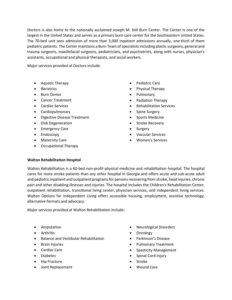Doctors is also home to the nationally acclaimed Joseph M. Still Burn Center. The Center is one of the largest in the United States and serves as a primary burn care center for the Southeastern United States. The 70-bed unit sees admission of more than 3,000 inpatient admissions annually, one-third of them pediatric patients. The Center maintains a Burn Team of specialists including plastic surgeons, general and trauma surgeons, maxillofacial surgeons, pediatricians, and psychiatrists, along with nurses, physician's assistants, occupational and physical therapists, and social workers.

Major services provided at Doctors include:

- Aquatic Therapy
- Bariatrics
- Burn Center
- Cancer Treatment
- Cardiac Services
- Cardiopulmonary
- Digestive Disease Treatment
- Disk Degeneration
- Emergency Care
- Endoscopy
- Maternity Care
- Occupational Therapy
- Pediatric Care
- Physical Therapy
- Pulmonary
- Radiation Therapy
- Rehabilitation Services
- Spine Surgery
- Sports Medicine
- Stroke Recovery
- **Surgery**
- Vascular Services
- Women's Services

#### **Walton Rehabilitation Hospital**

Walton Rehabilitation is a 60-bed non-profit physical medicine and rehabilitation hospital. The hospital cares for more stroke patients than any other hospital in Georgia and offers acute and sub-acute adult and pediatric inpatient and outpatient programs for persons recovering from stroke, head injuries, chronic pain and other disabling illnesses and injuries. The hospital includes the Children's Rehabilitation Center, outpatient rehabilitation, transitional living center, physician services, and independent living services. Walton Options for Independent Living offers accessible housing, employment, assistive technology, alternative formats and advocacy.

Major services provided at Walton Rehabilitation include:

- Amputation
- Arthritis
- Balance and Vestibular Rehabilitation
- Brain Injuries
- Cardiac Care
- Diabetes
- Hip Fracture
- Joint Replacement
- Neurological Disorders
- Oncology
- Parkinson's Disease
- Pulmonary Treatment
- Spasticity Management
- Spinal Cord Injury
- **Stroke**
- Wound Care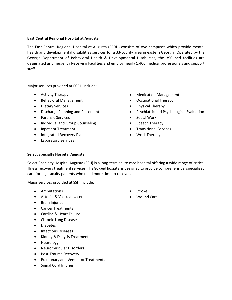#### **East Central Regional Hospital at Augusta**

The East Central Regional Hospital at Augusta (ECRH) consists of two campuses which provide mental health and developmental disabilities services for a 33-county area in eastern Georgia. Operated by the Georgia Department of Behavioral Health & Developmental Disabilities, the 390 bed facilities are designated as Emergency Receiving Facilities and employ nearly 1,400 medical professionals and support staff.

Major services provided at ECRH include:

- Activity Therapy
- Behavioral Management
- Dietary Services
- Discharge Planning and Placement
- Forensic Services
- Individual and Group Counseling
- Inpatient Treatment
- Integrated Recovery Plans
- Laboratory Services
- Medication Management
- Occupational Therapy
- Physical Therapy
- Psychiatric and Psychological Evaluation
- Social Work
- Speech Therapy
- Transitional Services
- Work Therapy

#### **Select Specialty Hospital Augusta**

Select Specialty Hospital Augusta (SSH) is a long-term acute care hospital offering a wide range of critical illness recovery treatment services. The 80-bed hospital is designed to provide comprehensive, specialized care for high-acuity patients who need more time to recover.

Major services provided at SSH include:

- Amputations
- Arterial & Vascular Ulcers
- Brain Injuries
- Cancer Treatments
- Cardiac & Heart Failure
- Chronic Lung Disease
- Diabetes
- Infectious Diseases
- Kidney & Dialysis Treatments
- Neurology
- Neuromuscular Disorders
- Post-Trauma Recovery
- Pulmonary and Ventilator Treatments
- Spinal Cord Injuries
- Stroke
- Wound Care